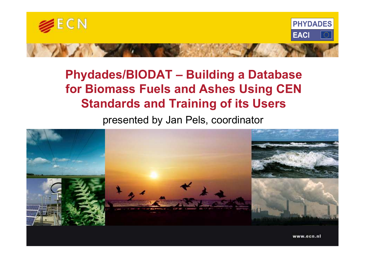

#### Phydades/BIODAT – Building a Database for Biomass Fuels and Ashes Using CEN Standards and Training of its Users

presented by Jan Pels, coordinator



www.ecn.nl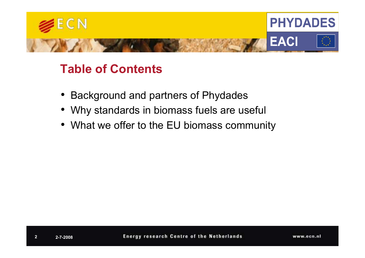

#### Table of Contents

- Background and partners of Phydades
- Why standards in biomass fuels are useful
- What we offer to the EU biomass community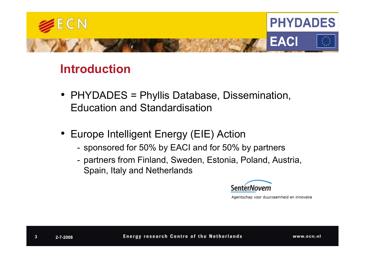

#### Introduction

- PHYDADES = Phyllis Database, Dissemination, Education and Standardisation
- Europe Intelligent Energy (EIE) Action
	- sponsored for 50% by EACI and for 50% by partners
	- sponsored for 50% by EACI and for 50% by partners<br>
	 partners from Finland, Sweden, Estonia, Poland, Austria,<br>
	Spain, Italy and Netherlands<br>
	<u>SenterNovem<br>
	Agentschap voor duurzamheid en innov</u><br> **Energy research Centre of**

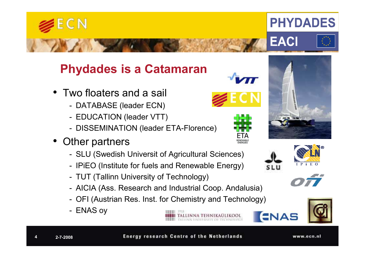

4

**Energy research Centre of the Netherlands** 

www.ecn.nl







**PHYDADES** 







- Two floaters and a sail
	- DATABASE (leader ECN)
	- EDUCATION (leader VTT)
	- DISSEMINATION (leader ETA-Florence)
- Other partners

ECN

- SLU (Swedish Universit of Agricultural Sciences)
- IPiEO (Institute for fuels and Renewable Energy)
- TUT (Tallinn University of Technology)
- AICIA (Ass. Research and Industrial Coop. Andalusia)
- OFI (Austrian Res. Inst. for Chemistry and Technology)
- ENAS oy







ENAS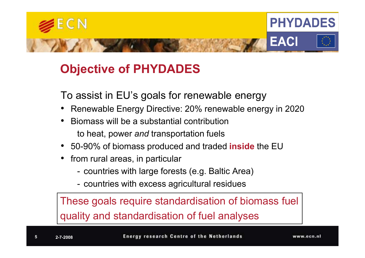

#### Objective of PHYDADES

To assist in EU's goals for renewable energy

- •Renewable Energy Directive: 20% renewable energy in 2020
- • Biomass will be a substantial contributionto heat, power *and* transportation fuels
- 50-90% of biomass produced and traded inside the EU
- $\bullet$  from rural areas, in particular
	- countries with large forests (e.g. Baltic Area)
	- countries with excess agricultural residues

These goals require standardisation of biomass fuelquality and standardisation of fuel analyses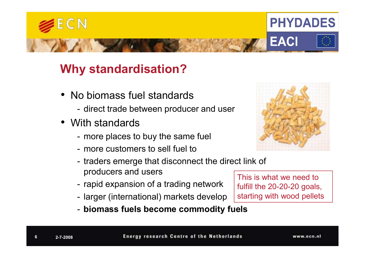

#### Why standardisation?

- No biomass fuel standards
	- direct trade between producer and user
- With standards
	- more places to buy the same fuel
	- more customers to sell fuel to
	- -- traders emerge that disconnect the direct link of producers and users
	- -- rapid expansion of a trading network
	- -- larger (international) markets develop
	- biomass fuels become commodity fuels

This is what we need to fulfill the 20-20-20 goals, starting with wood pellets

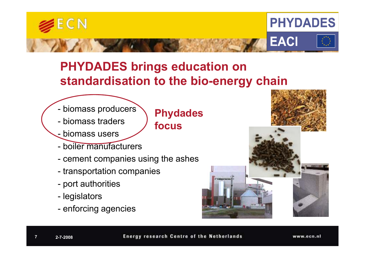

#### PHYDADES brings education on standardisation to the bio-energy chain

- biomass producers
- biomass traders
- -<mark>- biomass users</mark>
- boiler manufacturers
- cement companies using the ashes
- transportation companies
- port authorities
- **legislators**
- enforcing agencies

#### Phydadesfocus



7

**Energy research Centre of the Netherlands** 

www.ecn.nl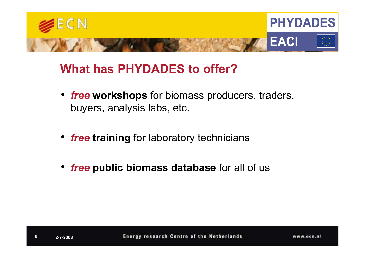

#### What has PHYDADES to offer?

- free workshops for biomass producers, traders, buyers, analysis labs, etc.
- free training for laboratory technicians
- *free* public biomass database for all of us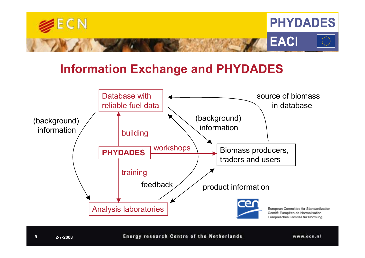

#### Information Exchange and PHYDADES



**Energy research Centre of the Netherlands** 

www.ecn.nl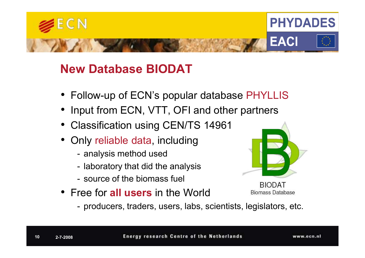

#### New Database BIODAT

- Follow-up of ECN's popular database PHYLLIS
- •Input from ECN, VTT, OFI and other partners
- Classification using CEN/TS 14961
- Only reliable data, including
	- -- analysis method used
	- -- Iaboratory that did the analysis
	- -- source of the biomass fuel
- Free for **all users** in the World



BIODAT **Biomass Database** 

producers, traders, users, labs, scientists, legislators, etc.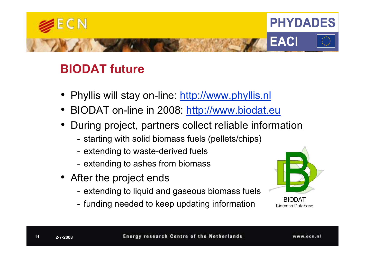

#### BIODAT future

- Phyllis will stay on-line: <u>http://www.phyllis.nl</u>
- •BIODAT on-line in 2008: http://www.biodat.eu
- During project, partners collect reliable information
	-
	-
	-
- 
- starting with solid biomass fuels (pellets/chips)<br>
 extending to waste-derived fuels<br>
 extending to ashes from biomass<br>
 After the project ends<br>
 extending to liquid and gaseous biomass fuels<br>
 funding needed to kee
	-



**BIODAT Biomass Database**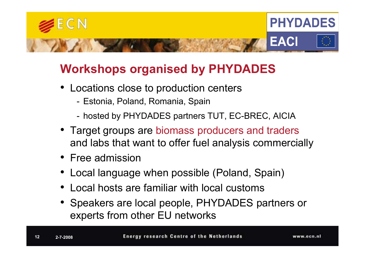

#### Workshops organised by PHYDADES

- Locations close to production centers
	- Estonia, Poland, Romania, Spain
	- hosted by PHYDADES partners TUT, EC-BREC, AICIA
- Target groups are biomass producers and traders and labs that want to offer fuel analysis commercially
- Free admission
- •Local language when possible (Poland, Spain)
- •Local hosts are familiar with local customs
- Speakers are local people, PHYDADES partners or experts from other EU networks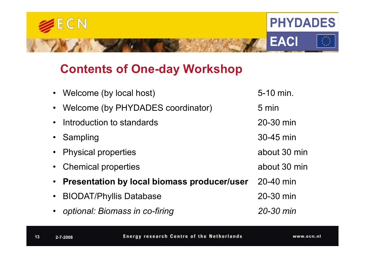

#### Contents of One-day Workshop

|           | • Welcome (by local host)                     | 5-10 min.     |
|-----------|-----------------------------------------------|---------------|
|           | • Welcome (by PHYDADES coordinator)           | 5 min         |
|           | • Introduction to standards                   | 20-30 min     |
|           | • Sampling                                    | 30-45 min     |
|           | • Physical properties                         | about 30 min  |
|           | • Chemical properties                         | about 30 min  |
|           | • Presentation by local biomass producer/user | 20-40 min     |
| $\bullet$ | <b>BIODAT/Phyllis Database</b>                | 20-30 min     |
|           | • optional: Biomass in co-firing              | $20 - 30$ min |
|           |                                               |               |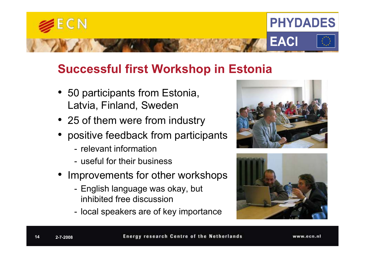

#### Successful first Workshop in Estonia

- 50 participants from Estonia, Latvia, Finland, Sweden
- 25 of them were from industry
- •positive feedback from participants
	- relevant information
	- -- useful for their business
- Improvements for other workshops
	- English language was okay, but inhibited free discussion
	- -- local speakers are of key importance





**Energy research Centre of the Netherlands**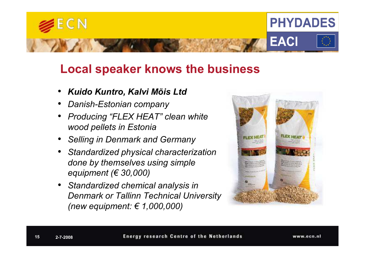

#### Local speaker knows the business

- •Kuido Kuntro, Kalvi Mõis Ltd
- •Danish-Estonian company
- • Producing "FLEX HEAT" clean white wood pellets in Estonia
- •Selling in Denmark and Germany
- • Standardized physical characterization done by themselves using simple equipment ( $\in$  30,000)
- • Standardized chemical analysis in Denmark or Tallinn Technical University (new equipment: € 1,000,000)

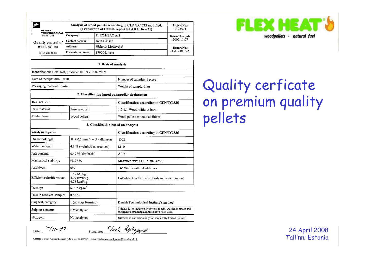| Ŵ.<br><b>DANISH</b>                      | Analysis of wood pellets according to CEN/TC 335 modified.<br>(Translation of Danish report ELAB 1016 - 31) | Project No.:<br>1323571 |                   |
|------------------------------------------|-------------------------------------------------------------------------------------------------------------|-------------------------|-------------------|
| <b>TECHNOLOGICAL</b><br><b>INSTITUTE</b> | Company:                                                                                                    | <b>FLEX HEAT A/S</b>    | Date of Analysis: |
| <b>Quality control of</b>                | Contact person:                                                                                             | John Hansen             | 2007.11.07        |
| wood pellets                             | Address:                                                                                                    | Bisholdt Møllevej 5     | Report No.:       |
| (Ver. 6 2006.10.17)                      | Postcode and town:                                                                                          | 8700 Horsens            | ELAB 1016-31      |

| 1. Basis of Analysis                                   |                                           |                                                                                                                 |  |  |  |  |
|--------------------------------------------------------|-------------------------------------------|-----------------------------------------------------------------------------------------------------------------|--|--|--|--|
| Identification: Flex Heat, produced 01.09 - 30.09.2007 |                                           |                                                                                                                 |  |  |  |  |
| Date of receipt: 2007.10.20                            |                                           | Number of samples: 1 piece                                                                                      |  |  |  |  |
| Packaging material: Plastic                            |                                           | Weight of sample: 8 kg                                                                                          |  |  |  |  |
| 2. Classification based on supplier declaration        |                                           |                                                                                                                 |  |  |  |  |
| <b>Declaration</b>                                     |                                           | Classification according to CEN/TC 335                                                                          |  |  |  |  |
| Raw material:                                          | Pure sawdust                              | 1.2.1.1 Wood without bark                                                                                       |  |  |  |  |
| Traded form:                                           | Wood pellets                              | Wood pellets without additives                                                                                  |  |  |  |  |
| 3. Classification based on analysis                    |                                           |                                                                                                                 |  |  |  |  |
| Analysis figures                                       |                                           | Classification according to CEN/TC 335                                                                          |  |  |  |  |
| Diameter/length:                                       | $8 \pm 0.5$ mm / $\leq 5 \times$ diameter | D08                                                                                                             |  |  |  |  |
| Water content:                                         | 6.1 % (weight% as received)               | M10                                                                                                             |  |  |  |  |
| Ash content:                                           | 0.49 % (dry basis)                        | A0.7                                                                                                            |  |  |  |  |
| Mechanical stability:                                  | 98.27%                                    | Measured with $\varnothing$ 3.15 mm sieve                                                                       |  |  |  |  |
| Additives:                                             | 0%                                        | The fuel is without additives                                                                                   |  |  |  |  |
| Efficient calorific value:                             | 17.9 MJ/kg<br>4.97 kWh/kg<br>4.28 kcal/kg | Calculated on the basis of ash and water content                                                                |  |  |  |  |
| Density:                                               | 678.2 $\text{kg/m}^3$                     |                                                                                                                 |  |  |  |  |
| Dust in received sample:                               | 0.63%                                     |                                                                                                                 |  |  |  |  |
| Slag test, category:                                   | 1 (no slag forming)                       | Danish Technological Institute's method                                                                         |  |  |  |  |
| Sulphur content:                                       | Not analyzed                              | Sulphur is normative only for chemically treaded biomass and<br>if sulphur containing additives have been used. |  |  |  |  |
| Nitrogen:                                              | Not analyzed                              | Nitrogen is normative only for chemically treated biomass.                                                      |  |  |  |  |

#### Quality cerficate on premium qualitypellets

ontact: Torben Nørgaard Jensen (TNJ)

24 April 2008Tallinn; Estonia



 $7/11 - 07$ Date:

Took Rifegered Signature: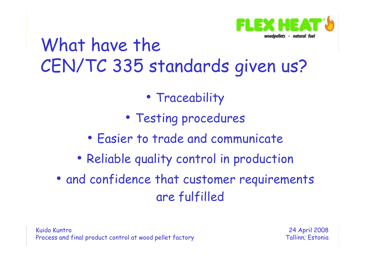

### What have the CEN/TC 335 standards given us?

- Traceability
- Testing procedures
- •Easier to trade and communicate
- Reliable quality control in production
- and confidence that customer requirements are fulfilled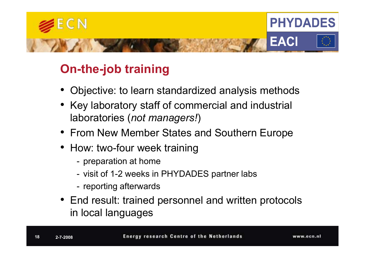

#### On-the-job training

- •Objective: to learn standardized analysis methods
- Key laboratory staff of commercial and industrial laboratories (not managers!)
- From New Member States and Southern Europe
- How: two-four week training
	- -- preparation at home
	- visit of 1-2 weeks in PHYDADES partner labs
	- -- reporting afterwards
- End result: trained personnel and written protocols in local languages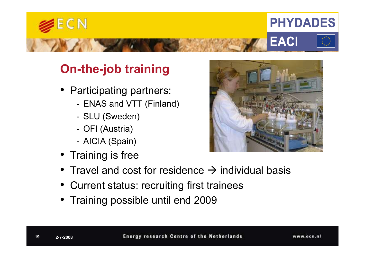

#### On-the-job training

- Participating partners:
	- ENAS and VTT (Finland)
	- SLU (Sweden)
	- -OFI (Austria)
	-
- 



- 
- 

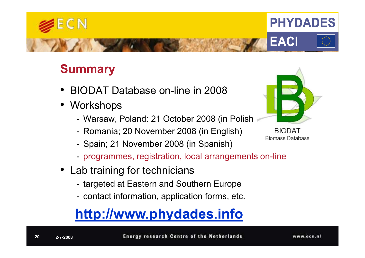#### **Summary**

- •BIODAT Database on-line in 2008
- Workshops
	- Warsaw, Poland: 21 October 2008 (in Polish)
	- -- Romania; 20 November 2008 (in English)
	-
	-
- -
	-

# - Spain; 21 November 2008 (in Spanish)<br>
- programmes, registration, local arrangements on-line<br>
• Lab training for technicians<br>
- targeted at Eastern and Southern Europe<br>
- contact information, application forms, etc.<br> **ht**



**BIODAT** Biomass Database



#### $\mathsf{E}\,\mathsf{C}\,\mathsf{N}$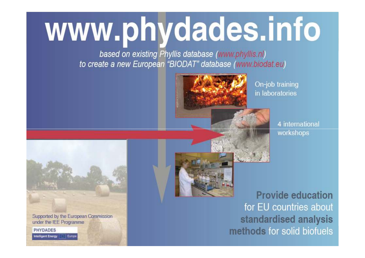## www.phydades.info

based on existing Phyllis database (www.phyllis.nl) to create a new European "BIODAT" database (www.biodat.eu)



On-job training in laboratories

> 4 international workshops



Supported by the European Commission under the IEE Programme

**PHYDADES** ntelligent Energy **2008** Euro



**Provide education** for EU countries about standardised analysis methods for solid biofuels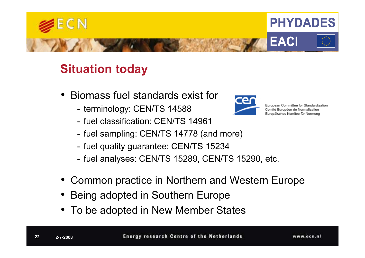

#### Situation today

- Biomass fuel standards exist for
	- -- terminology: CEN/TS 14588
	- fuel classification: CEN/TS 14961
	- fuel sampling: CEN/TS 14778 (and more)
	-
	-
- fuel quality guarantee: CEN/TS 15234<br>
 fuel analyses: CEN/TS 15289, CEN/TS 15290, etc.<br>
 Common practice in Northern and Western Europe<br>
 Being adopted in Southern Europe<br>
 To be adopted in New Member States<br>
 Energ
- 
- 



European Committee for Standardization Comité Européen de Normalisation Europäisches Komitee für Normung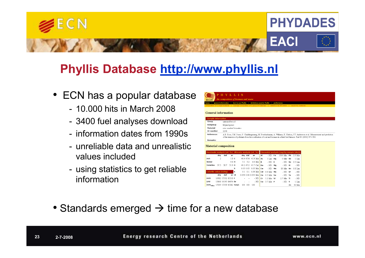

#### Phyllis Database http://www.phyllis.nl

- ECN has a popular database
	- 10.000 hits in March 2008
	- -3400 fuel analyses download
	- information dates from 1990s
	-
	-

| $\bullet$     | ECN has a popular database                                                                                    | HYLLIS                                                                                                                                                                                                                                                                                                                                                                                                                                                                                                                                                                                                                                                                                                                                                                                                                                                                                                                                                                     |
|---------------|---------------------------------------------------------------------------------------------------------------|----------------------------------------------------------------------------------------------------------------------------------------------------------------------------------------------------------------------------------------------------------------------------------------------------------------------------------------------------------------------------------------------------------------------------------------------------------------------------------------------------------------------------------------------------------------------------------------------------------------------------------------------------------------------------------------------------------------------------------------------------------------------------------------------------------------------------------------------------------------------------------------------------------------------------------------------------------------------------|
|               | - 10,000 hits in March 2008                                                                                   | average composition of a group of materials   selection via NTA 8003   search for materials<br><b>General information</b>                                                                                                                                                                                                                                                                                                                                                                                                                                                                                                                                                                                                                                                                                                                                                                                                                                                  |
|               | - 3400 fuel analyses download                                                                                 | amnle information<br>Group<br>untreated wood<br>Subaroup<br>fir/pine/spruce                                                                                                                                                                                                                                                                                                                                                                                                                                                                                                                                                                                                                                                                                                                                                                                                                                                                                                |
|               | - information dates from 1990s                                                                                | Material<br>pine sawdust briquettes<br>ID-number<br>2291<br>Reference:<br>A.B. Ross, J.M. Jones, S. Chaiklangmuang, M. Pourkashanian, A. Williams, K. Kubica, J.T. Andersson et al.: Measurement and predictio<br>of the emission of pollutants from the combustion of coal and biomass in a fixed bed furnace. Fuel 81 (2002) 571-582                                                                                                                                                                                                                                                                                                                                                                                                                                                                                                                                                                                                                                     |
| information   | - unreliable data and unrealistic<br>values included<br>- using statistics to get reliable                    | Remarks:<br><b>Material composition</b><br>lemental analysis (mg/kg sample (dry)<br>mate analysis (wt. %)  Ultimate analysis (wt. %)<br>$-ND$ Fe<br>daf<br>dry daf<br>AI.<br>1500 Msr Pb<br>3.3 Msr<br>dry<br>ar<br>ar<br>1.8 <sub>c</sub><br>$46.4$ 47.4 41.9 Msr As<br>Ash<br>1 Lim Hg<br>- 1 Lim<br>5.1 5.2 4.6 Msr B<br>Water<br>$9.8$ H<br>$-ND$ K<br>- ND<br>$Se$ 0.5 $Lim$<br>46.2 47.2 41.7 Cal Ba<br><b>Volatiles</b> 57.5 58.7<br>51.9 0<br>$-ND$ Ma<br>$\mathbf{-}$ ND<br>$-ND$ Si<br>$0.03$ 0.03 0.03 Msr Ga<br>$-$ ND $-$ Mn<br>0.8 Lim<br>83 Msr Sn<br>0.1 0.1 0.09 Msr   Cd 0.8 Msr Mo<br>$\overline{\phantom{a}}$ ND<br>$-ND$ Sr<br>$0.059$ 0.06 0.053 Msr Co 0.5 Msr Na<br>dry daf<br>ar Cl<br>-ND Te<br>- ND<br>$-$ ND Cr 1.2 Msr Ni<br>16982 17332 15318 F<br>$\cdot$ ND<br><b>HHV</b><br>$2.7$ Msr Ti<br>$\cdot$ ND $\vert$ Cu 3.7 Msr P<br>15868 16195 14074 Br<br>LHV<br>$-ND$ $V$<br>1 Lim<br>17009 17359 15342 Total: 100 100 100<br>$Zn = 30$ Msr |
| 3<br>2-7-2008 | • Standards emerged $\rightarrow$ time for a new database<br><b>Energy research Centre of the Netherlands</b> | www.ecn.nl                                                                                                                                                                                                                                                                                                                                                                                                                                                                                                                                                                                                                                                                                                                                                                                                                                                                                                                                                                 |